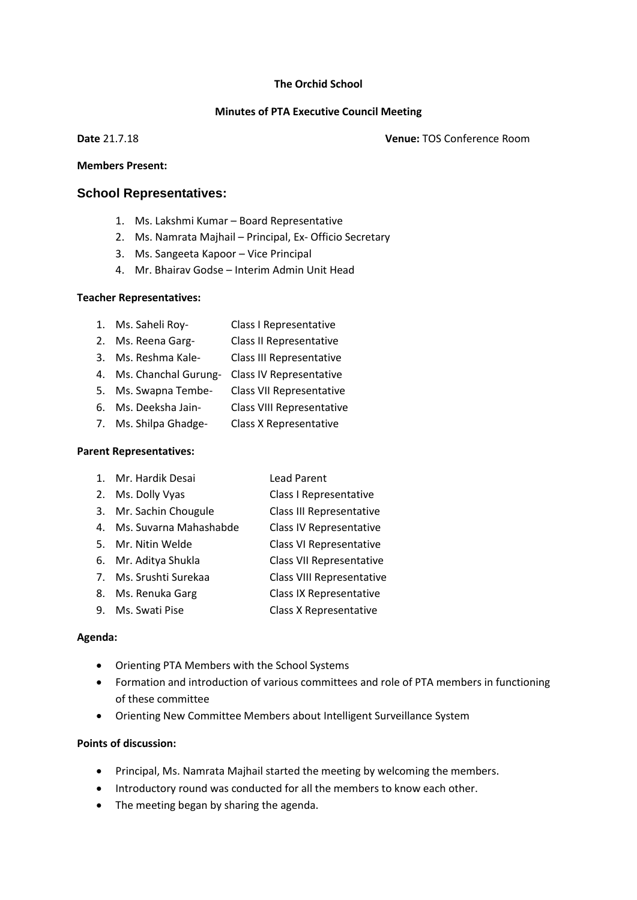#### **The Orchid School**

### **Minutes of PTA Executive Council Meeting**

**Date** 21.7.18 **Venue:** TOS Conference Room

#### **Members Present:**

## **School Representatives:**

- 1. Ms. Lakshmi Kumar Board Representative
- 2. Ms. Namrata Majhail Principal, Ex- Officio Secretary
- 3. Ms. Sangeeta Kapoor Vice Principal
- 4. Mr. Bhairav Godse Interim Admin Unit Head

### **Teacher Representatives:**

- 1. Ms. Saheli Roy- Class I Representative
- 2. Ms. Reena Garg- Class II Representative
- 3. Ms. Reshma Kale- Class III Representative
- 4. Ms. Chanchal Gurung- Class IV Representative
- 5. Ms. Swapna Tembe- Class VII Representative
- 6. Ms. Deeksha Jain- Class VIII Representative
- 7. Ms. Shilpa Ghadge- Class X Representative

### **Parent Representatives:**

- 1. Mr. Hardik Desai Lead Parent
- 2. Ms. Dolly Vyas Class I Representative
- 3. Mr. Sachin Chougule Class III Representative
- 4. Ms. Suvarna Mahashabde Class IV Representative
- 5. Mr. Nitin Welde Class VI Representative
- 6. Mr. Aditya Shukla Class VII Representative
- 7. Ms. Srushti Surekaa Class VIII Representative
- 8. Ms. Renuka Garg Class IX Representative
- 9. Ms. Swati Pise Class X Representative

### **Agenda:**

- Orienting PTA Members with the School Systems
- Formation and introduction of various committees and role of PTA members in functioning of these committee
- Orienting New Committee Members about Intelligent Surveillance System

### **Points of discussion:**

- Principal, Ms. Namrata Majhail started the meeting by welcoming the members.
- Introductory round was conducted for all the members to know each other.
- The meeting began by sharing the agenda.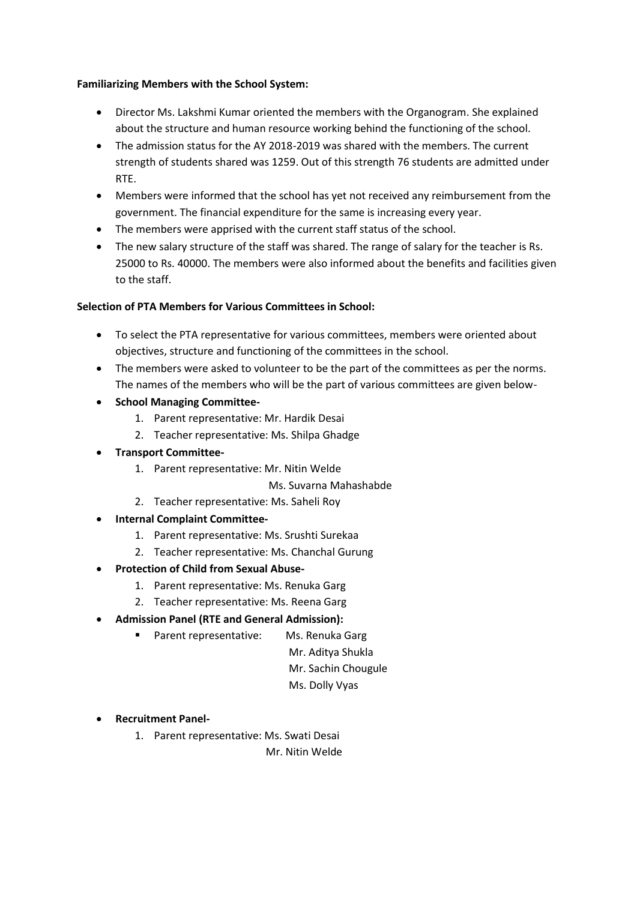## **Familiarizing Members with the School System:**

- Director Ms. Lakshmi Kumar oriented the members with the Organogram. She explained about the structure and human resource working behind the functioning of the school.
- The admission status for the AY 2018-2019 was shared with the members. The current strength of students shared was 1259. Out of this strength 76 students are admitted under RTE.
- Members were informed that the school has yet not received any reimbursement from the government. The financial expenditure for the same is increasing every year.
- The members were apprised with the current staff status of the school.
- The new salary structure of the staff was shared. The range of salary for the teacher is Rs. 25000 to Rs. 40000. The members were also informed about the benefits and facilities given to the staff.

# **Selection of PTA Members for Various Committees in School:**

- To select the PTA representative for various committees, members were oriented about objectives, structure and functioning of the committees in the school.
- The members were asked to volunteer to be the part of the committees as per the norms. The names of the members who will be the part of various committees are given below-
- **School Managing Committee-**
	- 1. Parent representative: Mr. Hardik Desai
	- 2. Teacher representative: Ms. Shilpa Ghadge
- **Transport Committee-**
	- 1. Parent representative: Mr. Nitin Welde
		- Ms. Suvarna Mahashabde
	- 2. Teacher representative: Ms. Saheli Roy
- **Internal Complaint Committee-**
	- 1. Parent representative: Ms. Srushti Surekaa
	- 2. Teacher representative: Ms. Chanchal Gurung
- **Protection of Child from Sexual Abuse-**
	- 1. Parent representative: Ms. Renuka Garg
	- 2. Teacher representative: Ms. Reena Garg
- **Admission Panel (RTE and General Admission):**
	- Parent representative: Ms. Renuka Garg
		- Mr. Aditya Shukla
			- Mr. Sachin Chougule
			- Ms. Dolly Vyas
- **Recruitment Panel-**
	- 1. Parent representative: Ms. Swati Desai
		- Mr. Nitin Welde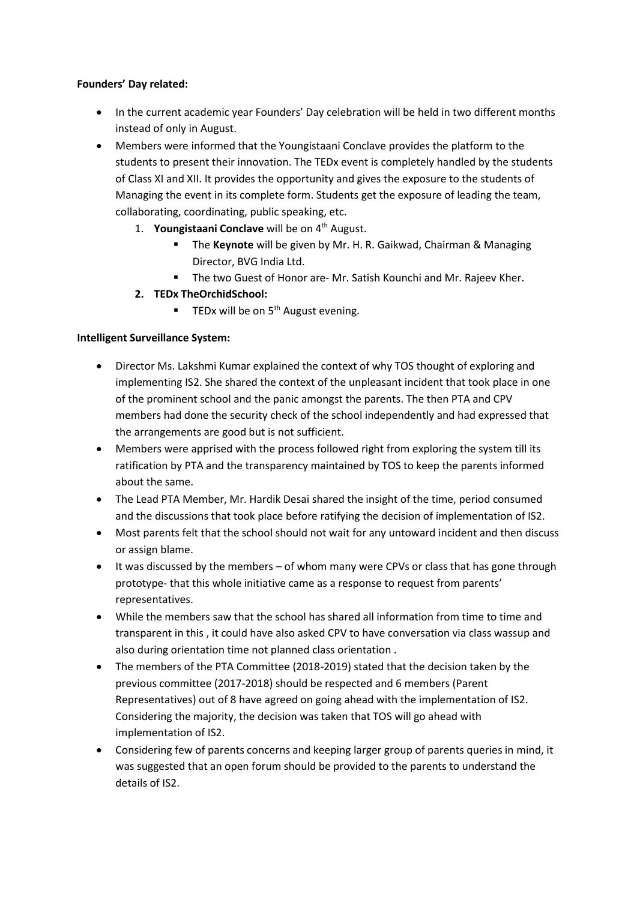# **Founders' Day related:**

- In the current academic year Founders' Day celebration will be held in two different months instead of only in August.
- Members were informed that the Youngistaani Conclave provides the platform to the students to present their innovation. The TEDx event is completely handled by the students of Class XI and XII. It provides the opportunity and gives the exposure to the students of Managing the event in its complete form. Students get the exposure of leading the team, collaborating, coordinating, public speaking, etc.
	- 1. **Youngistaani Conclave** will be on 4<sup>th</sup> August.
		- The **Keynote** will be given by Mr. H. R. Gaikwad, Chairman & Managing Director, BVG India Ltd.
		- The two Guest of Honor are- Mr. Satish Kounchi and Mr. Rajeev Kher.
	- **2. TEDx TheOrchidSchool:**
		- $\blacksquare$  TEDx will be on 5<sup>th</sup> August evening.

## **Intelligent Surveillance System:**

- Director Ms. Lakshmi Kumar explained the context of why TOS thought of exploring and implementing IS2. She shared the context of the unpleasant incident that took place in one of the prominent school and the panic amongst the parents. The then PTA and CPV members had done the security check of the school independently and had expressed that the arrangements are good but is not sufficient.
- Members were apprised with the process followed right from exploring the system till its ratification by PTA and the transparency maintained by TOS to keep the parents informed about the same.
- The Lead PTA Member, Mr. Hardik Desai shared the insight of the time, period consumed and the discussions that took place before ratifying the decision of implementation of IS2.
- Most parents felt that the school should not wait for any untoward incident and then discuss or assign blame.
- It was discussed by the members of whom many were CPVs or class that has gone through prototype- that this whole initiative came as a response to request from parents' representatives.
- While the members saw that the school has shared all information from time to time and transparent in this , it could have also asked CPV to have conversation via class wassup and also during orientation time not planned class orientation .
- The members of the PTA Committee (2018-2019) stated that the decision taken by the previous committee (2017-2018) should be respected and 6 members (Parent Representatives) out of 8 have agreed on going ahead with the implementation of IS2. Considering the majority, the decision was taken that TOS will go ahead with implementation of IS2.
- Considering few of parents concerns and keeping larger group of parents queries in mind, it was suggested that an open forum should be provided to the parents to understand the details of IS2.